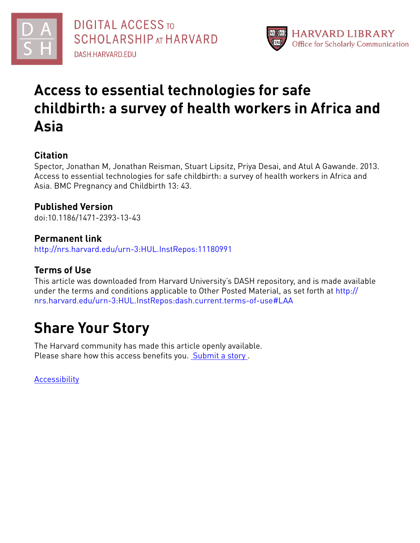



# **Access to essential technologies for safe childbirth: a survey of health workers in Africa and Asia**

# **Citation**

Spector, Jonathan M, Jonathan Reisman, Stuart Lipsitz, Priya Desai, and Atul A Gawande. 2013. Access to essential technologies for safe childbirth: a survey of health workers in Africa and Asia. BMC Pregnancy and Childbirth 13: 43.

# **Published Version**

doi:10.1186/1471-2393-13-43

# **Permanent link**

<http://nrs.harvard.edu/urn-3:HUL.InstRepos:11180991>

# **Terms of Use**

This article was downloaded from Harvard University's DASH repository, and is made available under the terms and conditions applicable to Other Posted Material, as set forth at [http://](http://nrs.harvard.edu/urn-3:HUL.InstRepos:dash.current.terms-of-use#LAA) [nrs.harvard.edu/urn-3:HUL.InstRepos:dash.current.terms-of-use#LAA](http://nrs.harvard.edu/urn-3:HUL.InstRepos:dash.current.terms-of-use#LAA)

# **Share Your Story**

The Harvard community has made this article openly available. Please share how this access benefits you. [Submit](http://osc.hul.harvard.edu/dash/open-access-feedback?handle=&title=Access%20to%20essential%20technologies%20for%20safe%20childbirth:%20a%20survey%20of%20health%20workers%20in%20Africa%20and%20Asia&community=1/4454685&collection=1/4454686&owningCollection1/4454686&harvardAuthors=8a196c541147b0bd5cae0f74f1a9bb75&department) a story.

[Accessibility](https://dash.harvard.edu/pages/accessibility)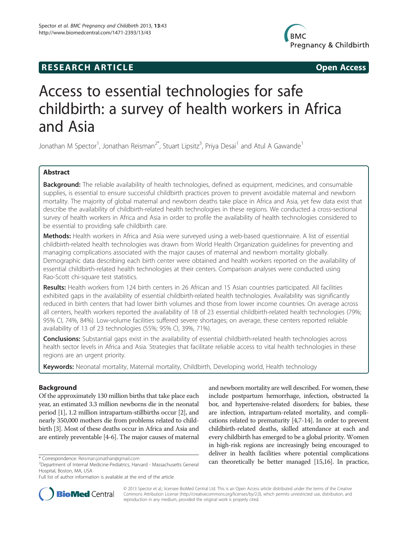# **RESEARCH ARTICLE Example 2014 The SEAR CH ACCESS**



# Access to essential technologies for safe childbirth: a survey of health workers in Africa and Asia

Jonathan M Spector<sup>1</sup>, Jonathan Reisman<sup>2\*</sup>, Stuart Lipsitz<sup>3</sup>, Priya Desai<sup>1</sup> and Atul A Gawande<sup>1</sup>

## Abstract

Background: The reliable availability of health technologies, defined as equipment, medicines, and consumable supplies, is essential to ensure successful childbirth practices proven to prevent avoidable maternal and newborn mortality. The majority of global maternal and newborn deaths take place in Africa and Asia, yet few data exist that describe the availability of childbirth-related health technologies in these regions. We conducted a cross-sectional survey of health workers in Africa and Asia in order to profile the availability of health technologies considered to be essential to providing safe childbirth care.

Methods: Health workers in Africa and Asia were surveyed using a web-based questionnaire. A list of essential childbirth-related health technologies was drawn from World Health Organization guidelines for preventing and managing complications associated with the major causes of maternal and newborn mortality globally. Demographic data describing each birth center were obtained and health workers reported on the availability of essential childbirth-related health technologies at their centers. Comparison analyses were conducted using Rao-Scott chi-square test statistics.

Results: Health workers from 124 birth centers in 26 African and 15 Asian countries participated. All facilities exhibited gaps in the availability of essential childbirth-related health technologies. Availability was significantly reduced in birth centers that had lower birth volumes and those from lower income countries. On average across all centers, health workers reported the availability of 18 of 23 essential childbirth-related health technologies (79%; 95% CI, 74%, 84%). Low-volume facilities suffered severe shortages; on average, these centers reported reliable availability of 13 of 23 technologies (55%; 95% CI, 39%, 71%).

Conclusions: Substantial gaps exist in the availability of essential childbirth-related health technologies across health sector levels in Africa and Asia. Strategies that facilitate reliable access to vital health technologies in these regions are an urgent priority.

Keywords: Neonatal mortality, Maternal mortality, Childbirth, Developing world, Health technology

## Background

Of the approximately 130 million births that take place each year, an estimated 3.3 million newborns die in the neonatal period [[1](#page-7-0)], 1.2 million intrapartum-stillbirths occur [\[2](#page-7-0)], and nearly 350,000 mothers die from problems related to childbirth [\[3](#page-7-0)]. Most of these deaths occur in Africa and Asia and are entirely preventable [\[4-6\]](#page-7-0). The major causes of maternal

and newborn mortality are well described. For women, these include postpartum hemorrhage, infection, obstructed la bor, and hypertensive-related disorders; for babies, these are infection, intrapartum-related mortality, and complications related to prematurity [\[4,7-14\]](#page-7-0). In order to prevent childbirth-related deaths, skilled attendance at each and every childbirth has emerged to be a global priority. Women in high-risk regions are increasingly being encouraged to deliver in health facilities where potential complications \* Correspondence: [Reisman.jonathan@gmail.com](mailto:Reisman.jonathan@gmail.com)<br><sup>2</sup>Department of Internal Medicine-Pediatrics Harvard - Massachusetts General **can theoretically be better managed** [\[15,16](#page-7-0)]. In practice,



© 2013 Spector et al.; licensee BioMed Central Ltd. This is an Open Access article distributed under the terms of the Creative Commons Attribution License [\(http://creativecommons.org/licenses/by/2.0\)](http://creativecommons.org/licenses/by/2.0), which permits unrestricted use, distribution, and reproduction in any medium, provided the original work is properly cited.

Department of Internal Medicine-Pediatrics, Harvard - Massachusetts General Hospital, Boston, MA, USA

Full list of author information is available at the end of the article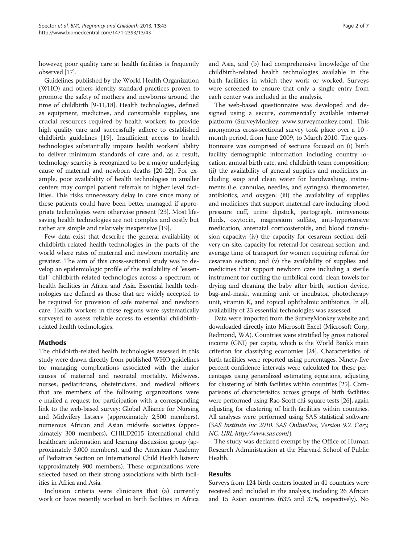however, poor quality care at health facilities is frequently observed [\[17](#page-7-0)].

Guidelines published by the World Health Organization (WHO) and others identify standard practices proven to promote the safety of mothers and newborns around the time of childbirth [[9-11,18](#page-7-0)]. Health technologies, defined as equipment, medicines, and consumable supplies, are crucial resources required by health workers to provide high quality care and successfully adhere to established childbirth guidelines [\[19\]](#page-7-0). Insufficient access to health technologies substantially impairs health workers' ability to deliver minimum standards of care and, as a result, technology scarcity is recognized to be a major underlying cause of maternal and newborn deaths [[20](#page-7-0)-[22](#page-7-0)]. For example, poor availability of health technologies in smaller centers may compel patient referrals to higher level facilities. This risks unnecessary delay in care since many of these patients could have been better managed if appropriate technologies were otherwise present [[23](#page-7-0)]. Most lifesaving health technologies are not complex and costly but rather are simple and relatively inexpensive [\[19\]](#page-7-0).

Few data exist that describe the general availability of childbirth-related health technologies in the parts of the world where rates of maternal and newborn mortality are greatest. The aim of this cross-sectional study was to develop an epidemiologic profile of the availability of "essential" childbirth-related technologies across a spectrum of health facilities in Africa and Asia. Essential health technologies are defined as those that are widely accepted to be required for provision of safe maternal and newborn care. Health workers in these regions were systematically surveyed to assess reliable access to essential childbirthrelated health technologies.

### Methods

The childbirth-related health technologies assessed in this study were drawn directly from published WHO guidelines for managing complications associated with the major causes of maternal and neonatal mortality. Midwives, nurses, pediatricians, obstetricians, and medical officers that are members of the following organizations were e-mailed a request for participation with a corresponding link to the web-based survey: Global Alliance for Nursing and Midwifery listserv (approximately 2,500 members), numerous African and Asian midwife societies (approximately 300 members), CHILD2015 international child healthcare information and learning discussion group (approximately 3,000 members), and the American Academy of Pediatrics Section on International Child Health listserv (approximately 900 members). These organizations were selected based on their strong associations with birth facilities in Africa and Asia.

Inclusion criteria were clinicians that (a) currently work or have recently worked in birth facilities in Africa

and Asia, and (b) had comprehensive knowledge of the childbirth-related health technologies available in the birth facilities in which they work or worked. Surveys were screened to ensure that only a single entry from each center was included in the analysis.

The web-based questionnaire was developed and designed using a secure, commercially available internet platform (SurveyMonkey; [www.surveymonkey.com\)](http://www.surveymonkey.com/). This anonymous cross-sectional survey took place over a 10 month period, from June 2009, to March 2010. The questionnaire was comprised of sections focused on (i) birth facility demographic information including country location, annual birth rate, and childbirth team composition; (ii) the availability of general supplies and medicines including soap and clean water for handwashing, instruments (i.e. cannulae, needles, and syringes), thermometer, antibiotics, and oxygen; (iii) the availability of supplies and medicines that support maternal care including blood pressure cuff, urine dipstick, partograph, intravenous fluids, oxytocin, magnesium sulfate, anti-hypertensive medication, antenatal corticosteroids, and blood transfusion capacity; (iv) the capacity for cesarean section delivery on-site, capacity for referral for cesarean section, and average time of transport for women requiring referral for cesarean section; and (v) the availability of supplies and medicines that support newborn care including a sterile instrument for cutting the umbilical cord, clean towels for drying and cleaning the baby after birth, suction device, bag-and-mask, warming unit or incubator, phototherapy unit, vitamin K, and topical ophthalmic antibiotics. In all, availability of 23 essential technologies was assessed.

Data were imported from the SurveyMonkey website and downloaded directly into Microsoft Excel (Microsoft Corp, Redmond, WA). Countries were stratified by gross national income (GNI) per capita, which is the World Bank's main criterion for classifying economies [\[24\]](#page-7-0). Characteristics of birth facilities were reported using percentages. Ninety-five percent confidence intervals were calculated for these percentages using generalized estimating equations, adjusting for clustering of birth facilities within countries [\[25\]](#page-7-0). Comparisons of characteristics across groups of birth facilities were performed using Rao-Scott chi-square tests [[26](#page-7-0)], again adjusting for clustering of birth facilities within countries. All analyses were performed using SAS statistical software (SAS Institute Inc 2010. SAS OnlineDoc, Version 9.2. Cary, NC. URL [http://www.sas.com](http://www.sas.com/)/).

The study was declared exempt by the Office of Human Research Administration at the Harvard School of Public Health.

### Results

Surveys from 124 birth centers located in 41 countries were received and included in the analysis, including 26 African and 15 Asian countries (63% and 37%, respectively). No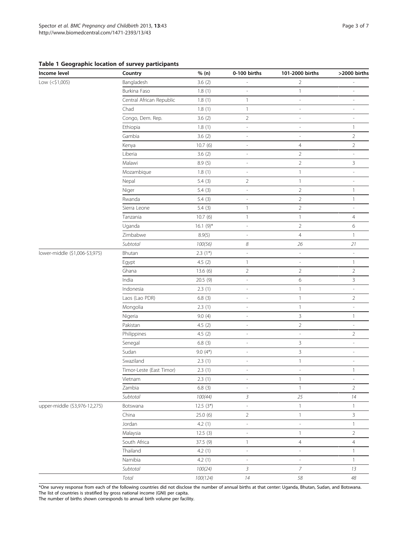## <span id="page-3-0"></span>Table 1 Geographic location of survey participants

| Income level                   | Country                  | % (n)       | 0-100 births               | 101-2000 births          | >2000 births             |
|--------------------------------|--------------------------|-------------|----------------------------|--------------------------|--------------------------|
| Low (<\$1,005)                 | Bangladesh               | 3.6(2)      | $\overline{a}$             | $\overline{2}$           | L                        |
|                                | Burkina Faso             | 1.8(1)      |                            | $\mathbf{1}$             |                          |
|                                | Central African Republic | 1.8(1)      | $\mathbf{1}$               | $\overline{\phantom{a}}$ | $\overline{\phantom{a}}$ |
|                                | Chad                     | 1.8(1)      | $\mathbf{1}$               | $\overline{\phantom{a}}$ | $\overline{\phantom{a}}$ |
|                                | Congo, Dem. Rep.         | 3.6(2)      | $\overline{2}$             | $\overline{\phantom{a}}$ | ä,                       |
|                                | Ethiopia                 | 1.8(1)      | $\overline{\phantom{a}}$   | $\overline{\phantom{a}}$ | $\mathbf{1}$             |
|                                | Gambia                   | 3.6(2)      | L,                         | L,                       | $\overline{2}$           |
|                                | Kenya                    | 10.7(6)     | $\frac{1}{2}$              | $\overline{4}$           | $\overline{2}$           |
|                                | Liberia                  | 3.6(2)      | $\overline{\phantom{a}}$   | $\overline{2}$           | L,                       |
|                                | Malawi                   | 8.9(5)      | L,                         | $\overline{2}$           | $\mathsf{3}$             |
|                                | Mozambique               | 1.8(1)      | $\overline{\phantom{a}}$   | $\mathbf{1}$             | $\overline{\phantom{a}}$ |
|                                | Nepal                    | 5.4(3)      | $\overline{2}$             | $\mathbf{1}$             | $\overline{a}$           |
|                                | Niger                    | 5.4(3)      | $\overline{\phantom{a}}$   | $\overline{2}$           | $\mathbf{1}$             |
|                                | Rwanda                   | 5.4(3)      | $\overline{\phantom{a}}$   | $\overline{2}$           | $\mathbf{1}$             |
|                                | Sierra Leone             | 5.4(3)      | $\mathbf{1}$               | $\overline{2}$           | L                        |
|                                | Tanzania                 | 10.7(6)     | $\mathbf{1}$               | $\mathbf{1}$             | $\overline{4}$           |
|                                | Uganda                   | $16.1(9)$ * | $\overline{\phantom{a}}$   | $\overline{2}$           | 6                        |
|                                | Zimbabwe                 | 8.9(5)      | $\overline{\phantom{a}}$   | $\overline{4}$           | $\mathbf{1}$             |
|                                | Subtotal                 | 100(56)     | $\boldsymbol{\mathcal{S}}$ | $26\,$                   | $21\,$                   |
| lower-middle (\$1,006-\$3,975) | Bhutan                   | $2.3(1*)$   | $\overline{a}$             | $\overline{\phantom{a}}$ | L,                       |
|                                | Egypt                    | 4.5(2)      | $\mathbf{1}$               | $\overline{\phantom{a}}$ | $\mathbf{1}$             |
|                                | Ghana                    | 13.6 (6)    | $\overline{2}$             | $\overline{2}$           | $\overline{2}$           |
|                                | India                    | 20.5 (9)    | $\overline{a}$             | 6                        | $\mathsf{3}$             |
|                                | Indonesia                | 2.3(1)      | $\overline{\phantom{a}}$   | $\mathbf{1}$             | $\overline{\phantom{a}}$ |
|                                | Laos (Lao PDR)           | 6.8(3)      | $\overline{\phantom{a}}$   | $\mathbf{1}$             | $\overline{2}$           |
|                                | Mongolia                 | 2.3(1)      | $\overline{\phantom{a}}$   | $\mathbf{1}$             | ÷,                       |
|                                | Nigeria                  | 9.0(4)      | $\overline{\phantom{a}}$   | $\mathbf{3}$             | $\mathbf{1}$             |
|                                | Pakistan                 | 4.5(2)      | $\overline{a}$             | $\overline{2}$           | L,                       |
|                                | Philippines              | 4.5(2)      | $\overline{\phantom{a}}$   | $\overline{\phantom{a}}$ | $\overline{2}$           |
|                                | Senegal                  | 6.8(3)      | $\overline{\phantom{a}}$   | 3                        | $\overline{a}$           |
|                                | Sudan                    | $9.0(4*)$   | $\overline{\phantom{a}}$   | $\overline{3}$           | $\overline{a}$           |
|                                | Swaziland                | 2.3(1)      | $\qquad \qquad -$          | $\mathbf{1}$             | ÷,                       |
|                                | Timor-Leste (East Timor) | 2.3(1)      | $\overline{\phantom{a}}$   | $\overline{\phantom{a}}$ | $\mathbf{1}$             |
|                                | Vietnam                  | 2.3(1)      | $\overline{\phantom{a}}$   | $\mathbf{1}$             | $\overline{\phantom{a}}$ |
|                                | Zambia                   | 6.8(3)      | L,                         | $\mathbf{1}$             | $\overline{2}$           |
|                                | Subtotal                 | 100(44)     | $\mathfrak{Z}$             | 25                       | 14                       |
| upper-middle (\$3,976-12,275)  | Botswana                 | $12.5(3*)$  | ÷,                         | $\mathbf{1}$             | $\mathbf{1}$             |
|                                | China                    | 25.0(6)     | $\sqrt{2}$                 | $\mathbf{1}$             | $\mathbf{3}$             |
|                                | Jordan                   | 4.2(1)      | $\overline{\phantom{a}}$   | $\overline{\phantom{a}}$ | $\mathbf{1}$             |
|                                | Malaysia                 | 12.5(3)     | $\overline{\phantom{a}}$   | $\mathbf{1}$             | $\sqrt{2}$               |
|                                | South Africa             | 37.5 (9)    | $\mathbf{1}$               | $\overline{4}$           | $\overline{4}$           |
|                                | Thailand                 | 4.2(1)      | $\overline{\phantom{a}}$   | $\overline{\phantom{a}}$ | $\mathbf{1}$             |
|                                | Namibia                  | 4.2(1)      | $\overline{\phantom{a}}$   | $\overline{\phantom{a}}$ | $\mathbf{1}$             |
|                                | Subtotal                 | 100(24)     | $\mathfrak{Z}$             | $\bar{z}$                | 13                       |
|                                | Total                    | 100(124)    | $14\,$                     | 58                       | $48\,$                   |

\*One survey response from each of the following countries did not disclose the number of annual births at that center: Uganda, Bhutan, Sudan, and Botswana. The list of countries is stratified by gross national income (GNI) per capita.

The number of births shown corresponds to annual birth volume per facility.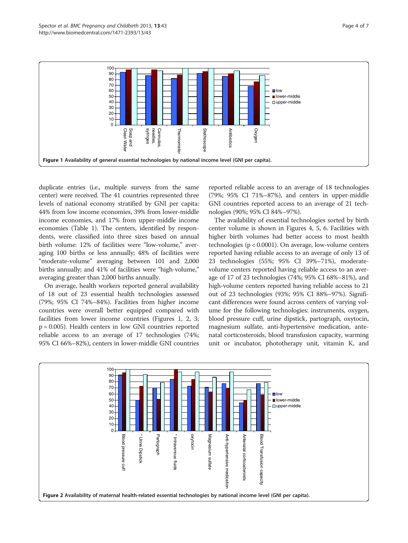

duplicate entries (i.e., multiple surveys from the same center) were received. The 41 countries represented three levels of national economy stratified by GNI per capita: 44% from low income economies, 39% from lower-middle income economies, and 17% from upper-middle income economies (Table [1](#page-3-0)). The centers, identified by respondents, were classified into three sizes based on annual birth volume: 12% of facilities were "low-volume," averaging 100 births or less annually; 48% of facilities were "moderate-volume" averaging between 101 and 2,000 births annually; and 41% of facilities were "high-volume," averaging greater than 2,000 births annually.

On average, health workers reported general availability of 18 out of 23 essential health technologies assessed (79%; 95% CI 74%–84%). Facilities from higher income countries were overall better equipped compared with facilities from lower income countries (Figures 1, 2, [3](#page-5-0); p = 0.005). Health centers in low GNI countries reported reliable access to an average of 17 technologies (74%; 95% CI 66%–82%), centers in lower-middle GNI countries reported reliable access to an average of 18 technologies (79%; 95% CI 71%–87%), and centers in upper-middle GNI countries reported access to an average of 21 technologies (90%; 95% CI 84%–97%).

The availability of essential technologies sorted by birth center volume is shown in Figures [4,](#page-5-0) [5](#page-6-0), [6](#page-6-0). Facilities with higher birth volumes had better access to most health technologies (p < 0.0001). On average, low-volume centers reported having reliable access to an average of only 13 of 23 technologies (55%; 95% CI 39%–71%), moderatevolume centers reported having reliable access to an average of 17 of 23 technologies (74%; 95% CI 68%–81%), and high-volume centers reported having reliable access to 21 out of 23 technologies (93%; 95% CI 88%–97%). Significant differences were found across centers of varying volume for the following technologies: instruments, oxygen, blood pressure cuff, urine dipstick, partograph, oxytocin, magnesium sulfate, anti-hypertensive medication, antenatal corticosteroids, blood transfusion capacity, warming unit or incubator, phototherapy unit, vitamin K, and

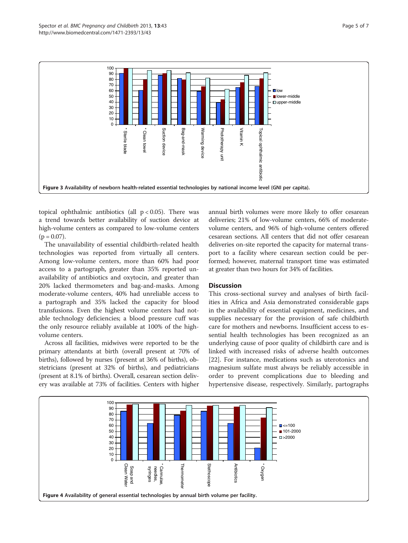<span id="page-5-0"></span>

topical ophthalmic antibiotics (all  $p < 0.05$ ). There was a trend towards better availability of suction device at high-volume centers as compared to low-volume centers  $(p = 0.07)$ .

The unavailability of essential childbirth-related health technologies was reported from virtually all centers. Among low-volume centers, more than 60% had poor access to a partograph, greater than 35% reported unavailability of antibiotics and oxytocin, and greater than 20% lacked thermometers and bag-and-masks. Among moderate-volume centers, 40% had unreliable access to a partograph and 35% lacked the capacity for blood transfusions. Even the highest volume centers had notable technology deficiencies; a blood pressure cuff was the only resource reliably available at 100% of the highvolume centers.

Across all facilities, midwives were reported to be the primary attendants at birth (overall present at 70% of births), followed by nurses (present at 36% of births), obstetricians (present at 32% of births), and pediatricians (present at 8.1% of births). Overall, cesarean section delivery was available at 73% of facilities. Centers with higher annual birth volumes were more likely to offer cesarean deliveries; 21% of low-volume centers, 66% of moderatevolume centers, and 96% of high-volume centers offered cesarean sections. All centers that did not offer cesarean deliveries on-site reported the capacity for maternal transport to a facility where cesarean section could be performed; however, maternal transport time was estimated at greater than two hours for 34% of facilities.

### **Discussion**

This cross-sectional survey and analyses of birth facilities in Africa and Asia demonstrated considerable gaps in the availability of essential equipment, medicines, and supplies necessary for the provision of safe childbirth care for mothers and newborns. Insufficient access to essential health technologies has been recognized as an underlying cause of poor quality of childbirth care and is linked with increased risks of adverse health outcomes [[22\]](#page-7-0). For instance, medications such as uterotonics and magnesium sulfate must always be reliably accessible in order to prevent complications due to bleeding and hypertensive disease, respectively. Similarly, partographs

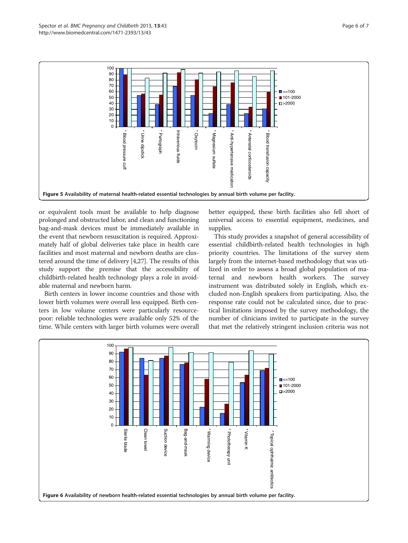<span id="page-6-0"></span>

or equivalent tools must be available to help diagnose prolonged and obstructed labor, and clean and functioning bag-and-mask devices must be immediately available in the event that newborn resuscitation is required. Approximately half of global deliveries take place in health care facilities and most maternal and newborn deaths are clustered around the time of delivery [\[4,27](#page-7-0)]. The results of this study support the premise that the accessibility of childbirth-related health technology plays a role in avoidable maternal and newborn harm.

Birth centers in lower income countries and those with lower birth volumes were overall less equipped. Birth centers in low volume centers were particularly resourcepoor: reliable technologies were available only 52% of the time. While centers with larger birth volumes were overall

better equipped, these birth facilities also fell short of universal access to essential equipment, medicines, and supplies.

This study provides a snapshot of general accessibility of essential childbirth-related health technologies in high priority countries. The limitations of the survey stem largely from the internet-based methodology that was utilized in order to assess a broad global population of maternal and newborn health workers. The survey instrument was distributed solely in English, which excluded non-English speakers from participating. Also, the response rate could not be calculated since, due to practical limitations imposed by the survey methodology, the number of clinicians invited to participate in the survey that met the relatively stringent inclusion criteria was not